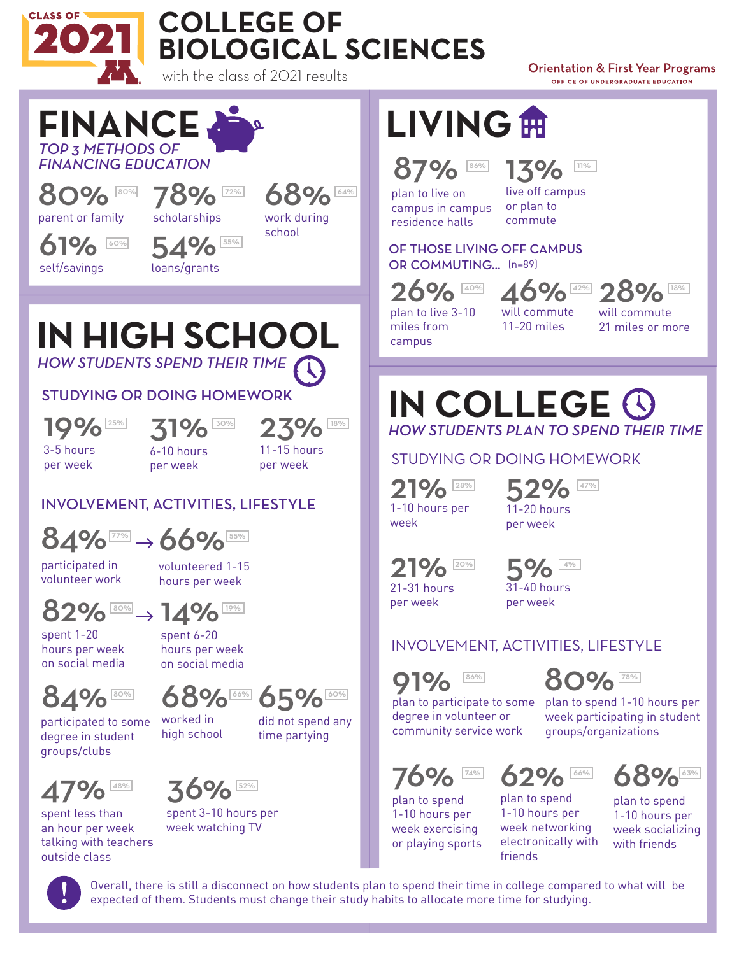

## **COLLEGE OF BIOLOGICAL SCIENCES**

**Orientation & First-Year Programs** OFFICE OF UNDERGRADUATE EDUCATION



participated in volunteer work

volunteered 1-15 hours per week



80% 19%

spent 1-20 hours per week on social media

spent 6-20 hours per week on social media



participated to some degree in student groups/clubs

68% 65% worked in high school 80% 60% 66% 6**FO** 60%





spent less than an hour per week talking with teachers outside class



spent 3-10 hours per week watching TV

**LIVING**

#### 87% 86% **170/** 11%

plan to live on campus in campus residence halls

13% live off campus or plan to commute

OF THOSE LIVING OFF CAMPUS OR COMMUTING... (n=89)

plan to live 3-10

campus

26% 46% 28%

miles from

will commute 11-20 miles

will commute 21 miles or more

### *HOW STUDENTS PLAN TO SPEND THEIR TIME* **IN COLLEGE**

STUDYING OR DOING HOMEWORK

21% 1-10 hours per week

52%<br>11-20 hours per week 28% COA 47%

21% 5% 21-31 hours per week



per week

#### INVOLVEMENT, ACTIVITIES, LIFESTYLE

86% **86% ROCK 78%** 

80%



plan to participate to some plan to spend 1-10 hours per degree in volunteer or community service work

76%

plan to spend 1-10 hours per week exercising or playing sports

62% 74% 60. 60% 66% 63%

plan to spend 1-10 hours per week networking electronically with friends

68% plan to spend 1-10 hours per week socializing

with friends

week participating in student

groups/organizations



Overall, there is still a disconnect on how students plan to spend their time in college compared to what will be expected of them. Students must change their study habits to allocate more time for studying.